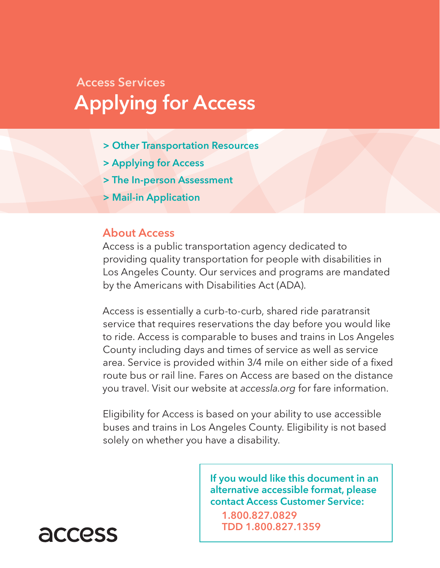# Access Services Applying for Access

- > Other Transportation Resources
- > Applying for Access
- > The In-person Assessment
- > Mail-in Application

#### About Access

Access is a public transportation agency dedicated to providing quality transportation for people with disabilities in Los Angeles County. Our services and programs are mandated by the Americans with Disabilities Act (ADA).

Access is essentially a curb-to-curb, shared ride paratransit service that requires reservations the day before you would like to ride. Access is comparable to buses and trains in Los Angeles County including days and times of service as well as service area. Service is provided within 3/4 mile on either side of a fixed route bus or rail line. Fares on Access are based on the distance you travel. Visit our website at *accessla.org* for fare information.

Eligibility for Access is based on your ability to use accessible buses and trains in Los Angeles County. Eligibility is not based solely on whether you have a disability.

> If you would like this document in an alternative accessible format, please contact Access Customer Service:

1.800.827.0829 TDD 1.800.827.1359

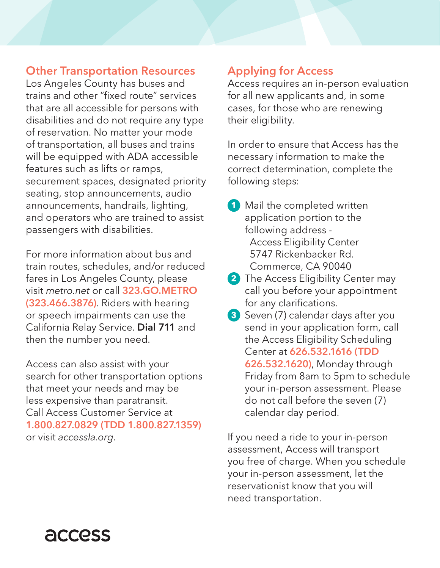### Other Transportation Resources

Los Angeles County has buses and trains and other "fixed route" services that are all accessible for persons with disabilities and do not require any type of reservation. No matter your mode of transportation, all buses and trains will be equipped with ADA accessible features such as lifts or ramps, securement spaces, designated priority seating, stop announcements, audio announcements, handrails, lighting, and operators who are trained to assist passengers with disabilities.

For more information about bus and train routes, schedules, and/or reduced fares in Los Angeles County, please visit *metro.net* or call 323.GO.METRO (323.466.3876). Riders with hearing or speech impairments can use the California Relay Service. Dial 711 and then the number you need.

Access can also assist with your search for other transportation options that meet your needs and may be less expensive than paratransit. Call Access Customer Service at 1.800.827.0829 (TDD 1.800.827.1359) or visit *accessla.org*.

# Applying for Access

Access requires an in-person evaluation for all new applicants and, in some cases, for those who are renewing their eligibility.

In order to ensure that Access has the necessary information to make the correct determination, complete the following steps:

- **1** Mail the completed written application portion to the following address - Access Eligibility Center 5747 Rickenbacker Rd. Commerce, CA 90040
- **2** The Access Eligibility Center may call you before your appointment for any clarifications.
- **3** Seven (7) calendar days after you send in your application form, call the Access Eligibility Scheduling Center at 626.532.1616 (TDD 626.532.1620), Monday through Friday from 8am to 5pm to schedule your in-person assessment. Please do not call before the seven (7) calendar day period.

If you need a ride to your in-person assessment, Access will transport you free of charge. When you schedule your in-person assessment, let the reservationist know that you will need transportation.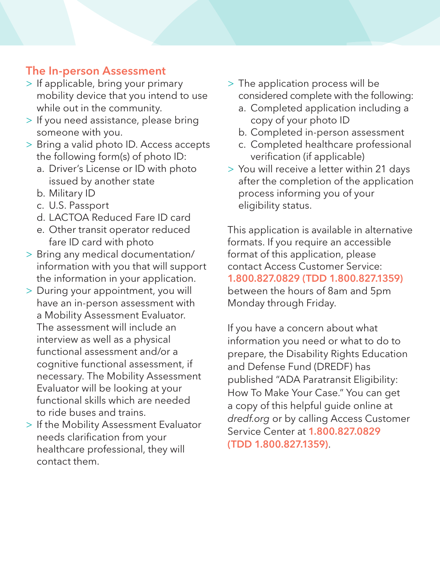# The In-person Assessment

- > If applicable, bring your primary mobility device that you intend to use while out in the community.
- > If you need assistance, please bring someone with you.
- > Bring a valid photo ID. Access accepts the following form(s) of photo ID:
	- a. Driver's License or ID with photo issued by another state
	- b. Military ID
	- c. U.S. Passport
	- d. LACTOA Reduced Fare ID card
	- e. Other transit operator reduced fare ID card with photo
- > Bring any medical documentation/ information with you that will support the information in your application.
- > During your appointment, you will have an in-person assessment with a Mobility Assessment Evaluator. The assessment will include an interview as well as a physical functional assessment and/or a cognitive functional assessment, if necessary. The Mobility Assessment Evaluator will be looking at your functional skills which are needed to ride buses and trains.
- > If the Mobility Assessment Evaluator needs clarification from your healthcare professional, they will contact them.
- > The application process will be considered complete with the following:
	- a. Completed application including a copy of your photo ID
	- b. Completed in-person assessment
	- c. Completed healthcare professional verification (if applicable)
- > You will receive a letter within 21 days after the completion of the application process informing you of your eligibility status.

This application is available in alternative formats. If you require an accessible format of this application, please contact Access Customer Service: 1.800.827.0829 (TDD 1.800.827.1359) between the hours of 8am and 5pm Monday through Friday.

If you have a concern about what information you need or what to do to prepare, the Disability Rights Education and Defense Fund (DREDF) has published "ADA Paratransit Eligibility: How To Make Your Case." You can get a copy of this helpful guide online at *dredf.org* or by calling Access Customer Service Center at 1.800.827.0829 (TDD 1.800.827.1359).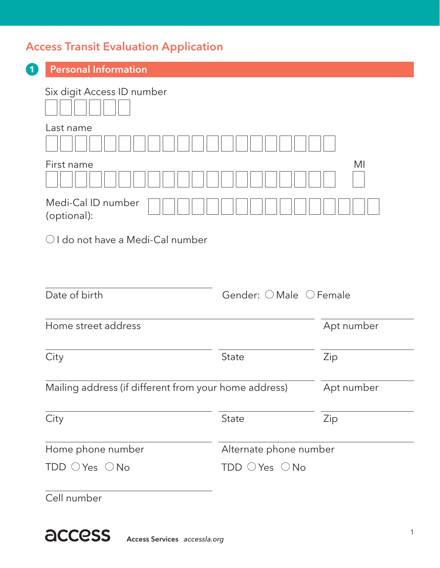# Access Transit Evaluation Application

| <b>Personal Information</b>                           |                         |
|-------------------------------------------------------|-------------------------|
| Six digit Access ID number                            |                         |
|                                                       |                         |
| Last name                                             |                         |
| First name                                            | MI                      |
| Medi-Cal ID number<br>(optional):                     |                         |
|                                                       |                         |
| $\bigcirc$ I do not have a Medi-Cal number            |                         |
|                                                       |                         |
|                                                       |                         |
| Date of birth                                         | Gender: O Male O Female |
|                                                       |                         |
| Home street address                                   | Apt number              |
|                                                       | State                   |
| City                                                  | Zip                     |
| Mailing address (if different from your home address) | Apt number              |
|                                                       |                         |
| City                                                  | Zip<br><b>State</b>     |
| Home phone number                                     | Alternate phone number  |

Access Services *accessla.org*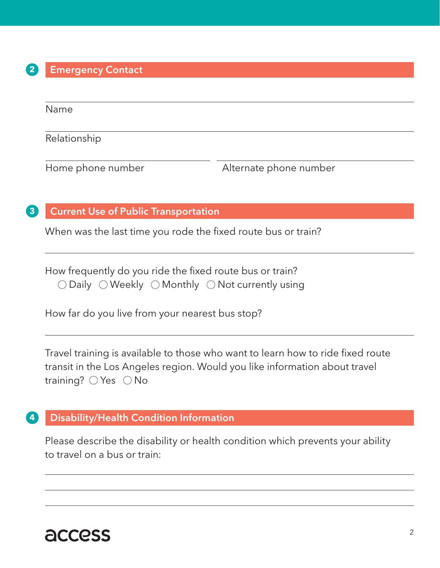#### **2** Emergency Contact

Name

Relationship

Home phone number The Alternate phone number

#### **3** Current Use of Public Transportation

When was the last time you rode the fixed route bus or train?

How frequently do you ride the fixed route bus or train?  $\bigcirc$  Daily  $\bigcirc$  Weekly  $\bigcirc$  Monthly  $\bigcirc$  Not currently using

How far do you live from your nearest bus stop?

Travel training is available to those who want to learn how to ride fixed route transit in the Los Angeles region. Would you like information about travel training?  $\bigcirc$  Yes  $\bigcirc$  No

#### **4** Disability/Health Condition Information

Please describe the disability or health condition which prevents your ability to travel on a bus or train: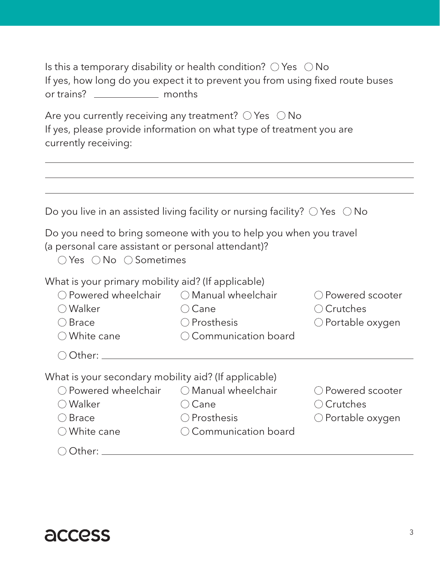| Is this a temporary disability or health condition? $\bigcirc$ Yes $\ \bigcirc$ No |        |  |  |
|------------------------------------------------------------------------------------|--------|--|--|
| If yes, how long do you expect it to prevent you from using fixed route buses      |        |  |  |
| or trains? <u>_____________</u>                                                    | months |  |  |

Are you currently receiving any treatment?  $\bigcirc$  Yes  $\bigcirc$  No If yes, please provide information on what type of treatment you are currently receiving:

|                                                                                                                                                                    | Do you live in an assisted living facility or nursing facility? $\bigcirc$ Yes $\bigcirc$ No |                                                                        |
|--------------------------------------------------------------------------------------------------------------------------------------------------------------------|----------------------------------------------------------------------------------------------|------------------------------------------------------------------------|
| (a personal care assistant or personal attendant)?<br>$\bigcirc$ Yes $\bigcirc$ No $\bigcirc$ Sometimes                                                            | Do you need to bring someone with you to help you when you travel                            |                                                                        |
| What is your primary mobility aid? (If applicable)<br>○ Powered wheelchair ○ Manual wheelchair<br>◯ Walker<br>$\bigcirc$ Brace<br>$\bigcirc$ White cane            | (Cane<br>◯ Prosthesis<br>Communication board                                                 | ◯ Powered scooter<br>○ Crutches<br>○ Portable oxygen                   |
| Other: _________                                                                                                                                                   |                                                                                              |                                                                        |
| What is your secondary mobility aid? (If applicable)<br>○ Powered wheelchair ○ Manual wheelchair<br>$\bigcirc$ Walker<br>$\bigcirc$ Brace<br>$\bigcirc$ White cane | ○ Cane<br>◯ Prosthesis<br>Communication board                                                | O Powered scooter<br>$\bigcirc$ Crutches<br>$\bigcirc$ Portable oxygen |
| Other:                                                                                                                                                             |                                                                                              |                                                                        |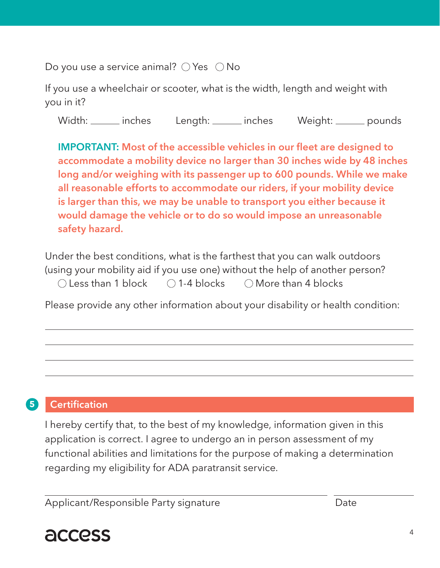Do you use a service animal?  $\bigcirc$  Yes  $\bigcirc$  No

If you use a wheelchair or scooter, what is the width, length and weight with you in it?

Width: inches Length: inches Weight: pounds

IMPORTANT: Most of the accessible vehicles in our fleet are designed to accommodate a mobility device no larger than 30 inches wide by 48 inches long and/or weighing with its passenger up to 600 pounds. While we make all reasonable efforts to accommodate our riders, if your mobility device is larger than this, we may be unable to transport you either because it would damage the vehicle or to do so would impose an unreasonable safety hazard.

Under the best conditions, what is the farthest that you can walk outdoors (using your mobility aid if you use one) without the help of another person?  $\bigcirc$  Less than 1 block  $\bigcirc$  1-4 blocks  $\bigcirc$  More than 4 blocks

Please provide any other information about your disability or health condition:

# **5** Certification

I hereby certify that, to the best of my knowledge, information given in this application is correct. I agree to undergo an in person assessment of my functional abilities and limitations for the purpose of making a determination regarding my eligibility for ADA paratransit service.

Applicant/Responsible Party signature **Date** Date

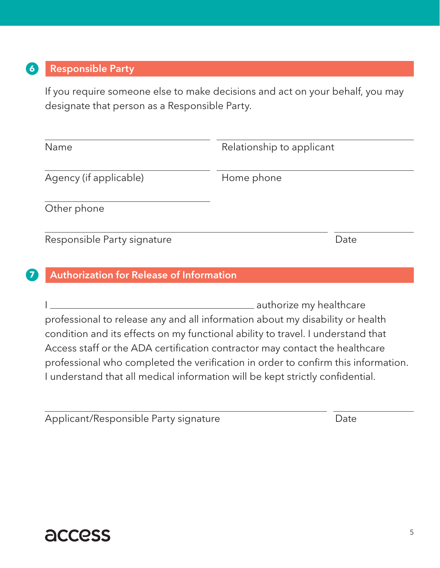## **6** Responsible Party

If you require someone else to make decisions and act on your behalf, you may designate that person as a Responsible Party.

| Name                        | Relationship to applicant |
|-----------------------------|---------------------------|
| Agency (if applicable)      | Home phone                |
| Other phone                 |                           |
| Responsible Party signature | Date                      |

#### **7** Authorization for Release of Information

I <u>I</u> authorize my healthcare professional to release any and all information about my disability or health condition and its effects on my functional ability to travel. I understand that Access staff or the ADA certification contractor may contact the healthcare professional who completed the verification in order to confirm this information. I understand that all medical information will be kept strictly confidential.

Applicant/Responsible Party signature **Example 2018** Date

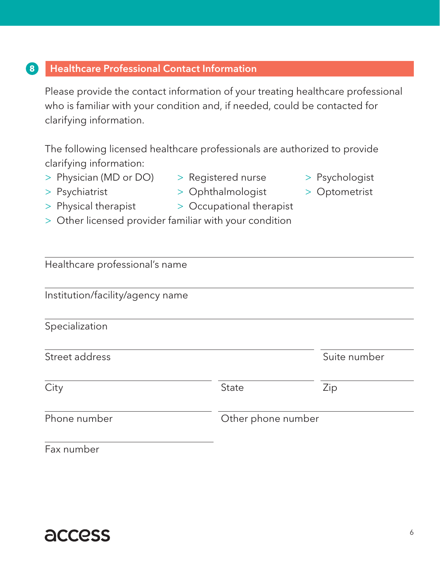## **8** Healthcare Professional Contact Information

Please provide the contact information of your treating healthcare professional who is familiar with your condition and, if needed, could be contacted for clarifying information.

The following licensed healthcare professionals are authorized to provide clarifying information:

- > Physician (MD or DO) > Registered nurse > Psychologist
	-
- 
- 
- > Psychiatrist > Ophthalmologist > Optometrist
- 

- 
- > Physical therapist > Occupational therapist
- > Other licensed provider familiar with your condition

| Healthcare professional's name   |                    |              |
|----------------------------------|--------------------|--------------|
| Institution/facility/agency name |                    |              |
| Specialization                   |                    |              |
| Street address                   |                    | Suite number |
| City                             | State              | Zip          |
| Phone number                     | Other phone number |              |
|                                  |                    |              |

Fax number